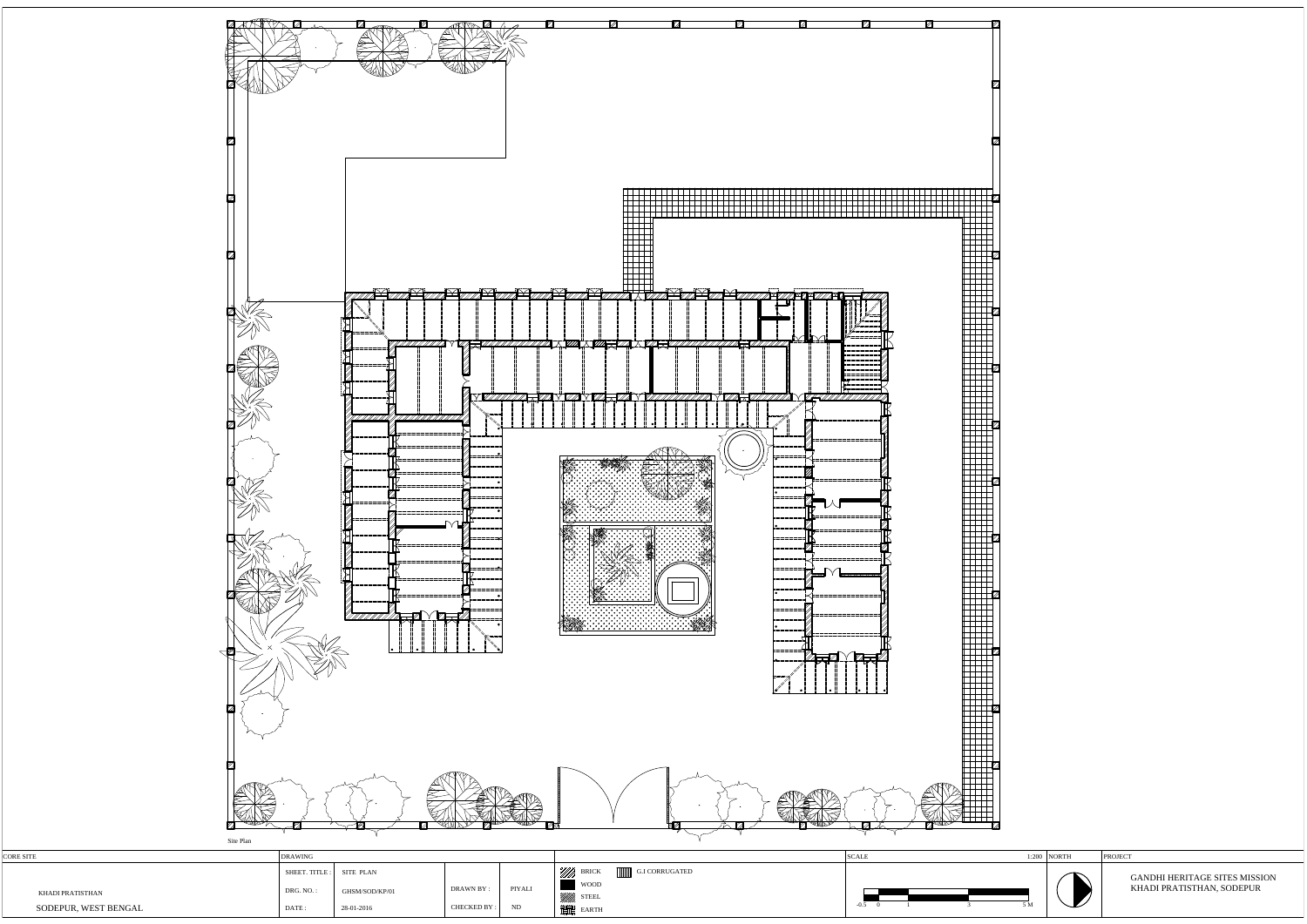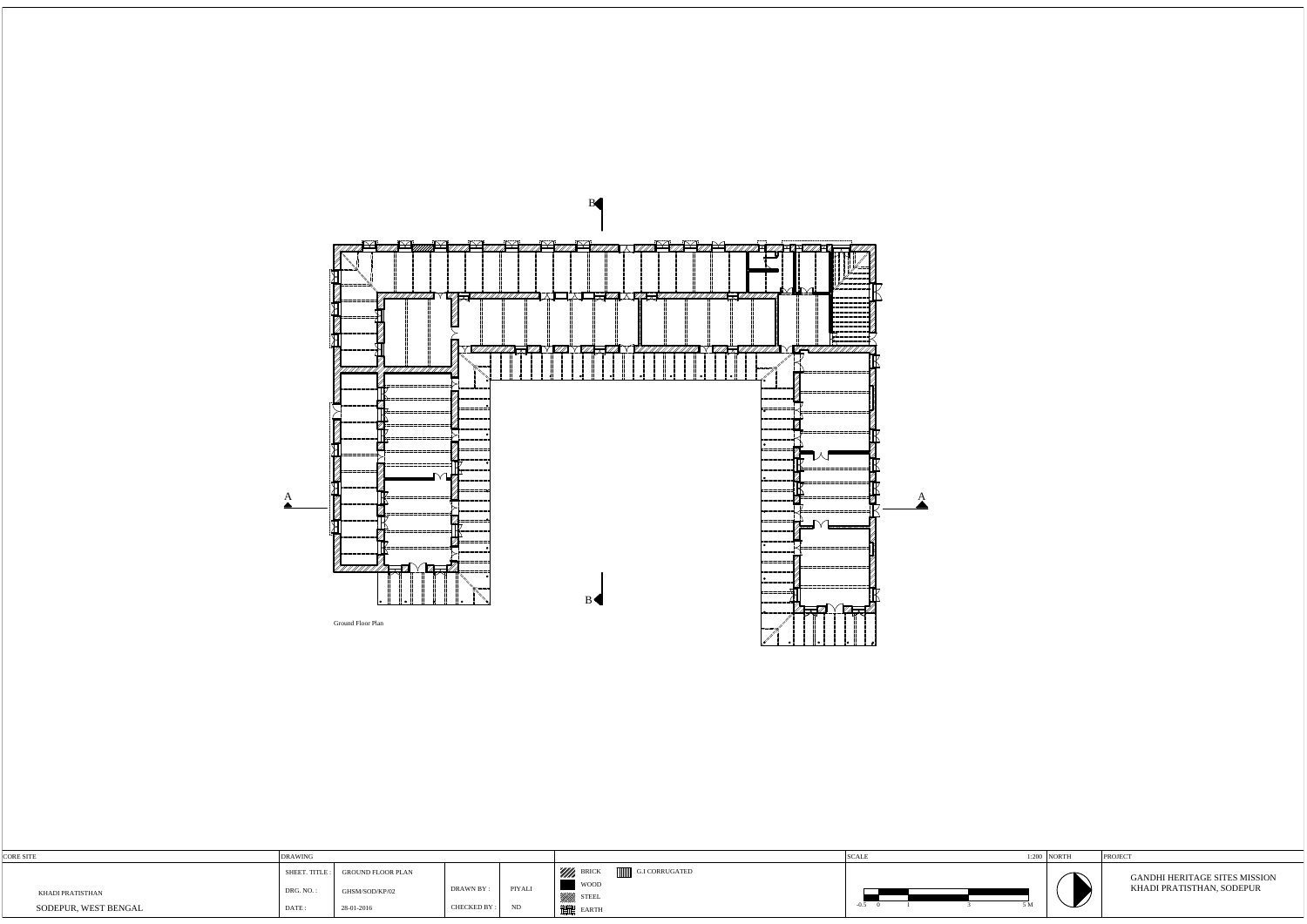PROJECT

| <b>CORE SITE</b>     | <b>DRAWING</b> |                                  |             |        |                                    | <b>SCALE</b> | $: 200$ NORTH |  |
|----------------------|----------------|----------------------------------|-------------|--------|------------------------------------|--------------|---------------|--|
|                      |                | SHEET. TITLE : GROUND FLOOR PLAN |             |        | Will BRICK<br>G.I CORRUGATED       |              |               |  |
| KHADI PRATISTHAN     | DRG. NO.:      | GHSM/SOD/KP/02                   | DRAWN BY :  | PIYALI | <b>WOOD</b><br>uum<br><b>STEEL</b> |              |               |  |
| SODEPUR, WEST BENGAL | DATE:          | 28-01-2016                       | CHECKED BY: | ND     | 譜 EARTH                            | $-0.5$<br>эM |               |  |

1:200 NORTH

GANDHI HERITAGE SITES MISSION KHADI PRATISTHAN, SODEPUR

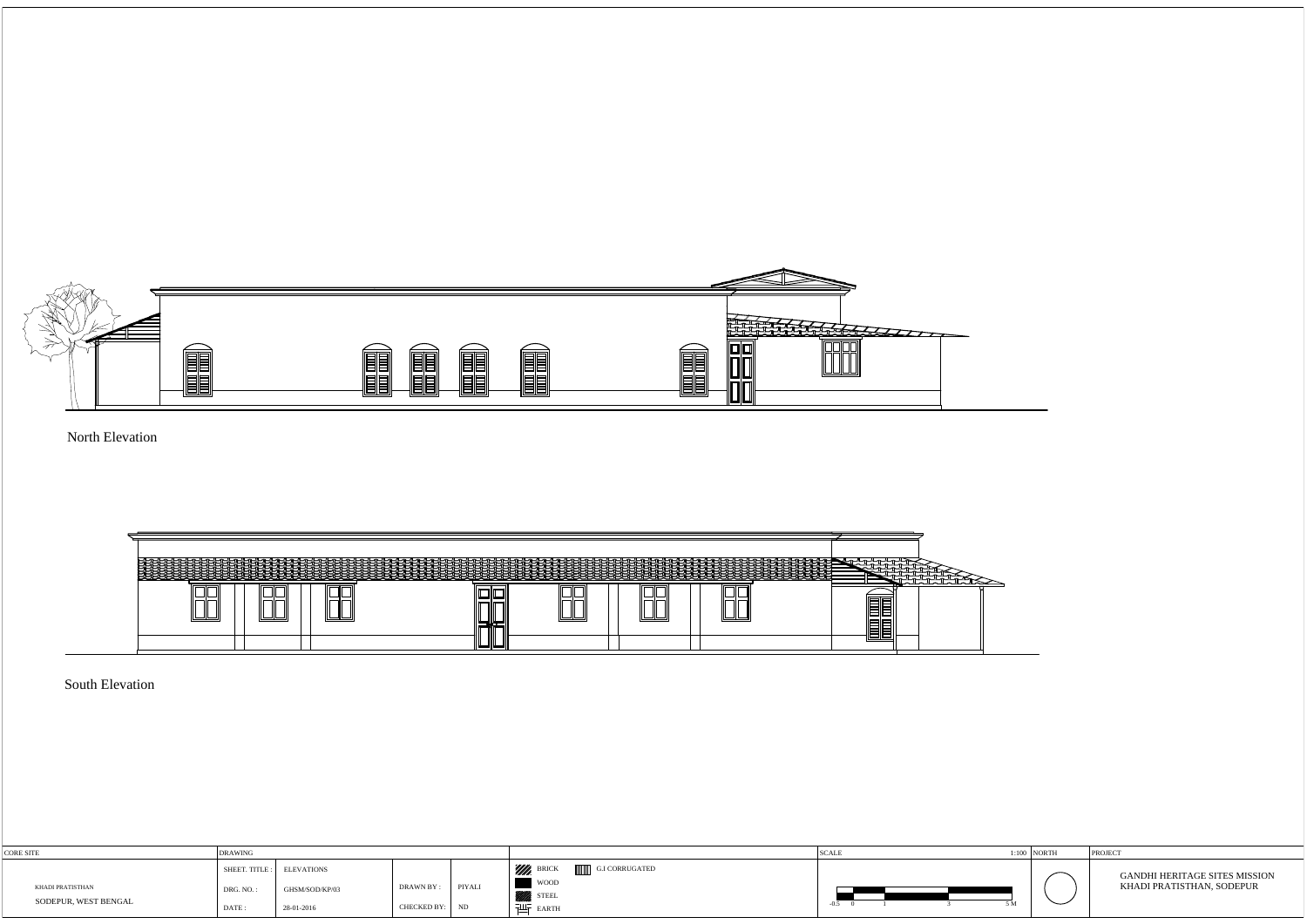

North Elevation

South Elevation

| CORE SITE                                | <b>IDRAWING</b>                           |                                                   |                                 |                 |                                                                      | <b>SCALL</b> | $1:100$ NORTH            | PROJECT                                                           |
|------------------------------------------|-------------------------------------------|---------------------------------------------------|---------------------------------|-----------------|----------------------------------------------------------------------|--------------|--------------------------|-------------------------------------------------------------------|
| KHADI PRATISTHAN<br>SODEPUR, WEST BENGAL | SHEET. TITLE:<br>DRG. NO.:<br><b>DATE</b> | <b>ELEVATIONS</b><br>GHSM/SOD/KP/03<br>28-01-2016 | <b>DRAWN BY:</b><br>CHECKED BY: | PIYALI<br>: IND | 'Illh<br>G.I CORRUGATED<br>woop<br>STEEL <sup>9</sup><br>ᅰ도<br>EARTH | $\sim$       | $\overline{\phantom{0}}$ | <b>GANDHI HERITAGE SITES MISSION</b><br>KHADI PRATISTHAN, SODEPUR |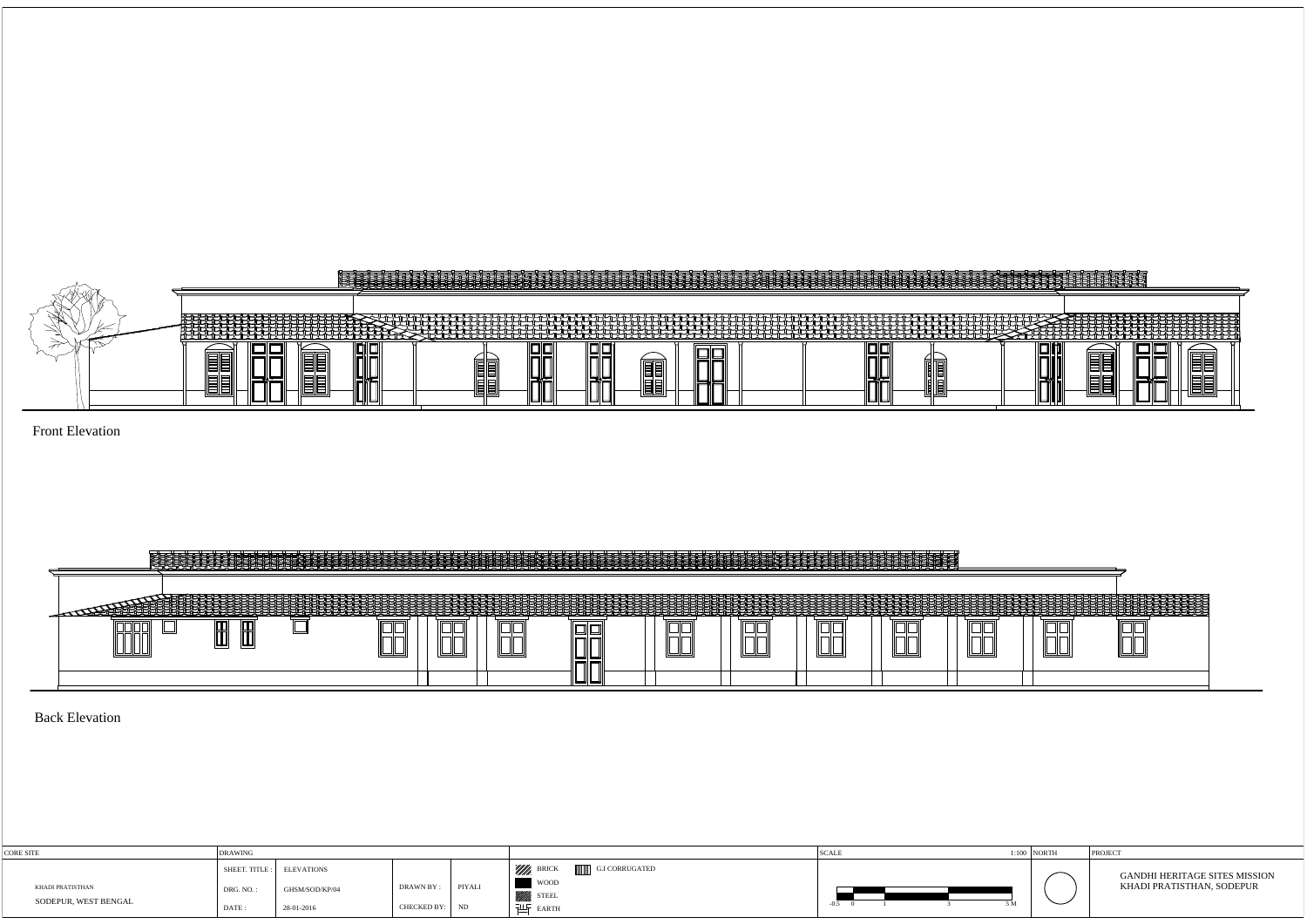

Front Elevation



Back Elevation

| CORE SITE                                | <b>DRAWING</b>     |                                                           |                              |        |                                                               | <b>SCALE</b> |         | $1:100$ NORTH |
|------------------------------------------|--------------------|-----------------------------------------------------------|------------------------------|--------|---------------------------------------------------------------|--------------|---------|---------------|
| KHADI PRATISTHAN<br>SODEPUR, WEST BENGAL | DRG. NO.:<br>DATE: | SHEET. TITLE : ELEVATIONS<br>GHSM/SOD/KP/04<br>28-01-2016 | DRAWN BY :<br>CHECKED BY: ND | PIYALI | <i>Willi,</i> Brick<br>G.I CORRUGATED<br>woop<br><b>STEEL</b> |              | <b></b> |               |

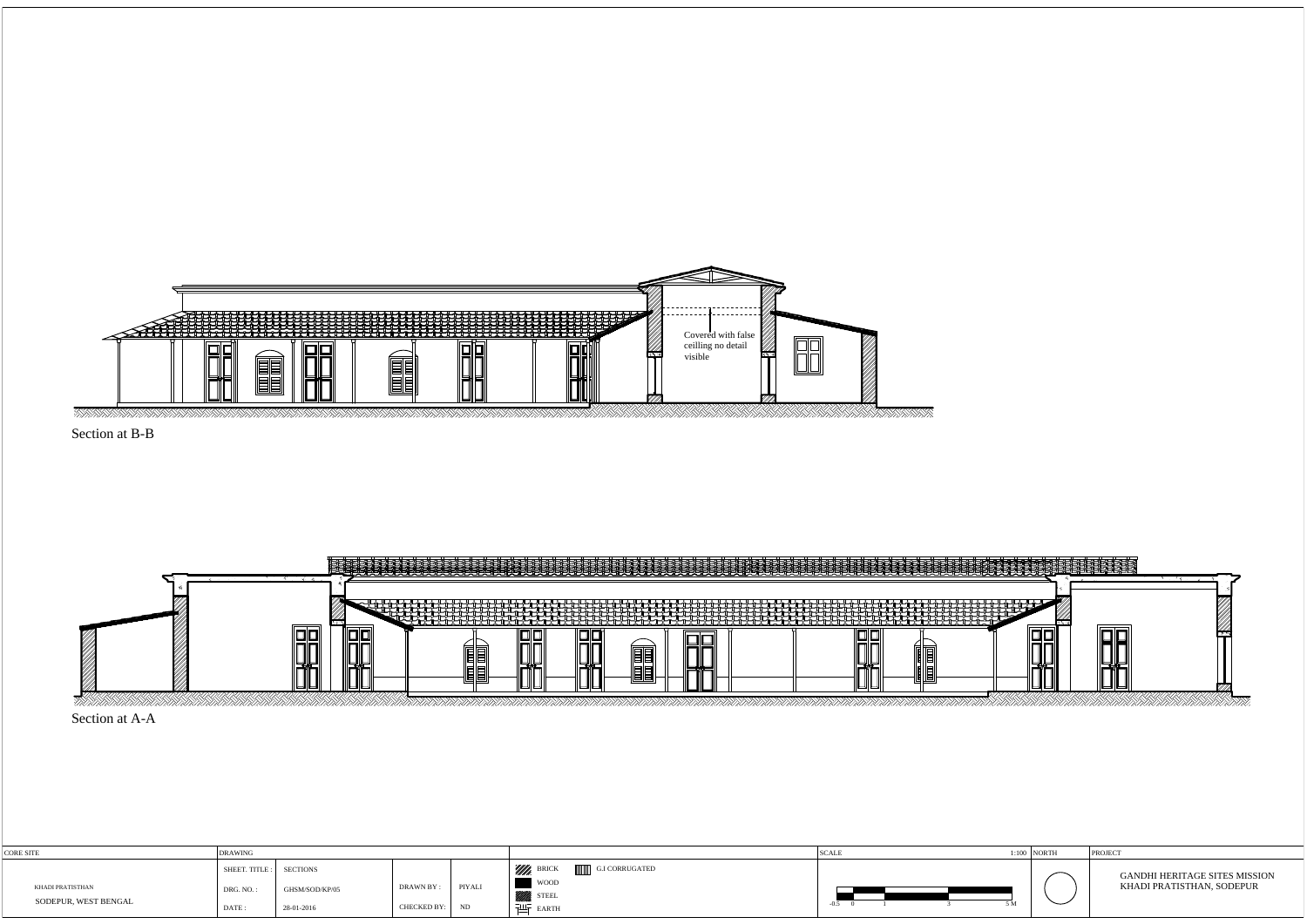

Section at A-A





| CORE SITE                                | <b>DRAWING</b>                                     |                              |                           |              |                                                                                                   | <b>SCALE</b> | $1:100$ NORTH | PROJECT                                                           |
|------------------------------------------|----------------------------------------------------|------------------------------|---------------------------|--------------|---------------------------------------------------------------------------------------------------|--------------|---------------|-------------------------------------------------------------------|
| KHADI PRATISTHAN<br>SODEPUR, WEST BENGAL | SHEET. TITLE : SECTIONS<br>DRG. NO.<br><b>DATE</b> | GHSM/SOD/KP/05<br>28-01-2016 | DRAWN BY :<br>CHECKED BY: | PIYALI<br>ND | <i>Willi</i> , BRIC<br>G.I CORRUGATED<br><b>WOOD</b><br>STEEL <sup>3</sup><br>$\frac{1}{2}$ EARTH | F M<br>-0.5  | ─             | <b>GANDHI HERITAGE SITES MISSION</b><br>KHADI PRATISTHAN, SODEPUR |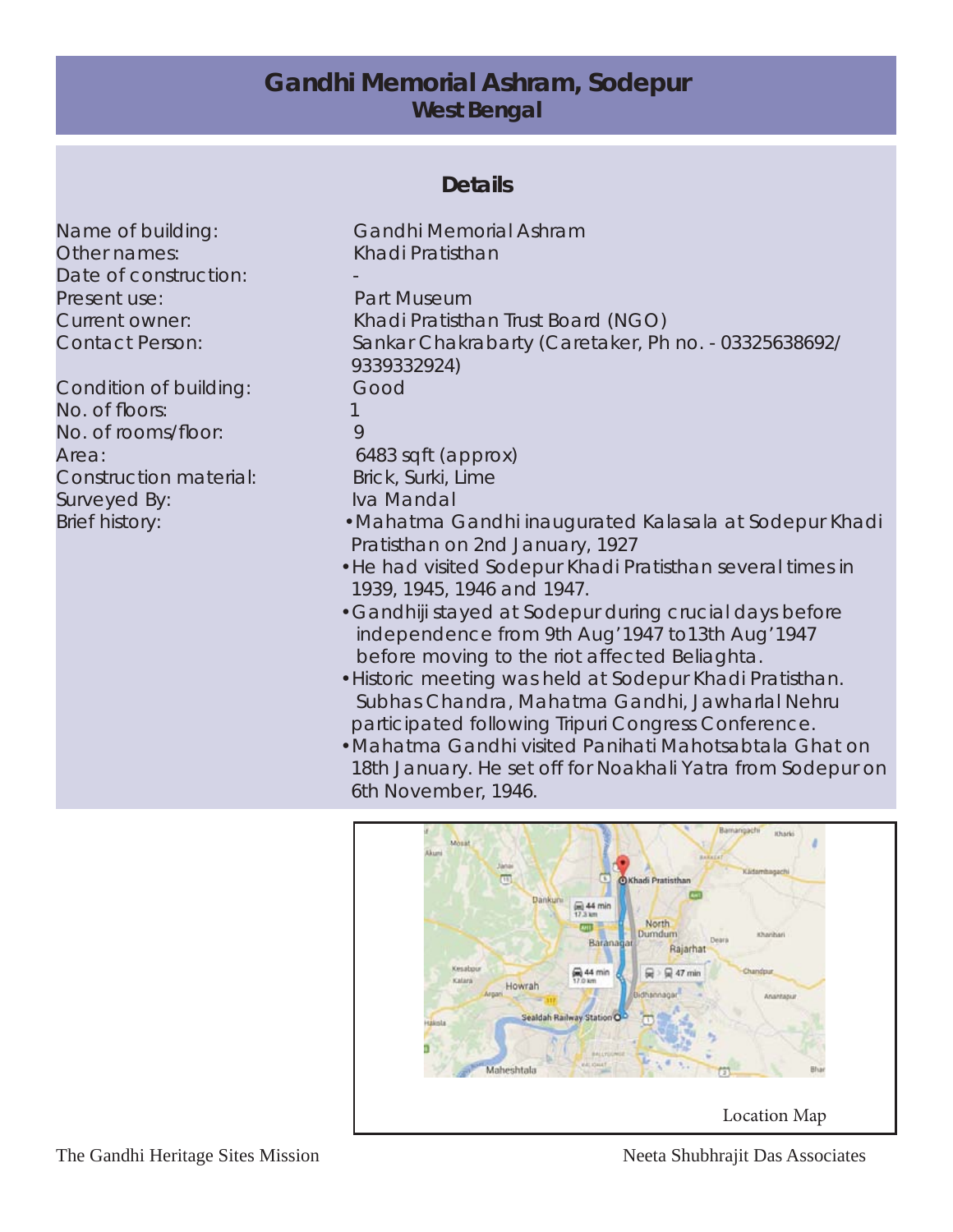## **Gandhi Memorial Ashram, Sodepur West Bengal**

## **Details**

Name of building: Gandhi Memorial Ashram Other names: Khadi Pratisthan Date of construction: Present use: Part Museum

Condition of building: Good No. of floors: 1 No. of rooms/floor: 9 Area: 6483 sqft (approx) Construction material: Brick, Surki, Lime Surveyed By: Iva Mandal

Current owner: Khadi Pratisthan Trust Board (NGO) Contact Person: Sankar Chakrabarty (Caretaker, Ph no. - 03325638692/ 9339332924) Brief history: • • • • • • • Mahatma Gandhi inaugurated Kalasala at Sodepur Khadi Pratisthan on 2nd January, 1927

- •He had visited Sodepur Khadi Pratisthan several times in 1939, 1945, 1946 and 1947.
- •Gandhiji stayed at Sodepur during crucial days before independence from 9th Aug'1947 to13th Aug'1947 before moving to the riot affected Beliaghta.
- •Historic meeting was held at Sodepur Khadi Pratisthan. Subhas Chandra, Mahatma Gandhi, Jawharlal Nehru participated following Tripuri Congress Conference.
- •Mahatma Gandhi visited Panihati Mahotsabtala Ghat on 18th January. He set off for Noakhali Yatra from Sodepur on 6th November, 1946.